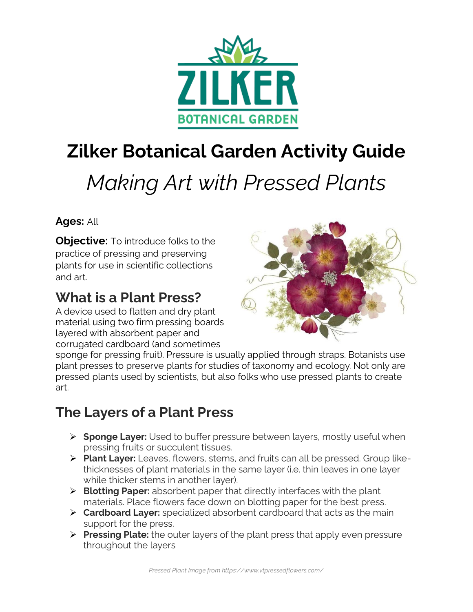

## **Zilker Botanical Garden Activity Guide**

# *Making Art with Pressed Plants*

**Ages:** All

**Objective:** To introduce folks to the practice of pressing and preserving plants for use in scientific collections and art.

### **What is a Plant Press?**

A device used to flatten and dry plant material using two firm pressing boards layered with absorbent paper and corrugated cardboard (and sometimes



sponge for pressing fruit). Pressure is usually applied through straps. Botanists use plant presses to preserve plants for studies of taxonomy and ecology. Not only are pressed plants used by scientists, but also folks who use pressed plants to create art.

## **The Layers of a Plant Press**

- ➢ **Sponge Layer:** Used to buffer pressure between layers, mostly useful when pressing fruits or succulent tissues.
- ➢ **Plant Layer:** Leaves, flowers, stems, and fruits can all be pressed. Group likethicknesses of plant materials in the same layer (i.e. thin leaves in one layer while thicker stems in another layer).
- ➢ **Blotting Paper:** absorbent paper that directly interfaces with the plant materials. Place flowers face down on blotting paper for the best press.
- ➢ **Cardboard Layer:** specialized absorbent cardboard that acts as the main support for the press.
- ➢ **Pressing Plate:** the outer layers of the plant press that apply even pressure throughout the layers